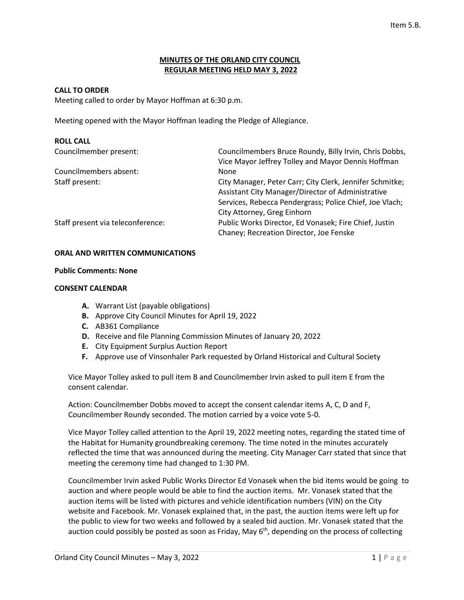## **MINUTES OF THE ORLAND CITY COUNCIL REGULAR MEETING HELD MAY 3, 2022**

### **CALL TO ORDER**

Meeting called to order by Mayor Hoffman at 6:30 p.m.

Meeting opened with the Mayor Hoffman leading the Pledge of Allegiance.

# **ROLL CALL** Councilmember present: Councilmembers Bruce Roundy, Billy Irvin, Chris Dobbs, Vice Mayor Jeffrey Tolley and Mayor Dennis Hoffman Councilmembers absent: None Staff present: City Manager, Peter Carr; City Clerk, Jennifer Schmitke; Assistant City Manager/Director of Administrative Services, Rebecca Pendergrass; Police Chief, Joe Vlach; City Attorney, Greg Einhorn Staff present via teleconference: Public Works Director, Ed Vonasek; Fire Chief, Justin Chaney; Recreation Director, Joe Fenske

### **ORAL AND WRITTEN COMMUNICATIONS**

### **Public Comments: None**

### **CONSENT CALENDAR**

- **A.** Warrant List (payable obligations)
- **B.** Approve City Council Minutes for April 19, 2022
- **C.** AB361 Compliance
- **D.** Receive and file Planning Commission Minutes of January 20, 2022
- **E.** City Equipment Surplus Auction Report
- **F.** Approve use of Vinsonhaler Park requested by Orland Historical and Cultural Society

Vice Mayor Tolley asked to pull item B and Councilmember Irvin asked to pull item E from the consent calendar.

Action: Councilmember Dobbs moved to accept the consent calendar items A, C, D and F, Councilmember Roundy seconded. The motion carried by a voice vote 5-0.

Vice Mayor Tolley called attention to the April 19, 2022 meeting notes, regarding the stated time of the Habitat for Humanity groundbreaking ceremony. The time noted in the minutes accurately reflected the time that was announced during the meeting. City Manager Carr stated that since that meeting the ceremony time had changed to 1:30 PM.

Councilmember Irvin asked Public Works Director Ed Vonasek when the bid items would be going to auction and where people would be able to find the auction items. Mr. Vonasek stated that the auction items will be listed with pictures and vehicle identification numbers (VIN) on the City website and Facebook. Mr. Vonasek explained that, in the past, the auction items were left up for the public to view for two weeks and followed by a sealed bid auction. Mr. Vonasek stated that the auction could possibly be posted as soon as Friday, May 6<sup>th</sup>, depending on the process of collecting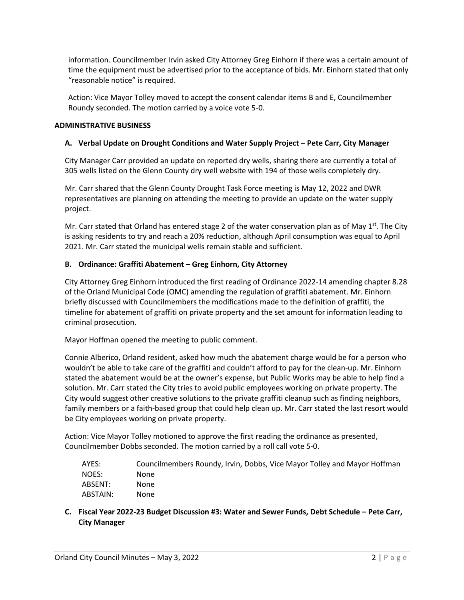information. Councilmember Irvin asked City Attorney Greg Einhorn if there was a certain amount of time the equipment must be advertised prior to the acceptance of bids. Mr. Einhorn stated that only "reasonable notice" is required.

Action: Vice Mayor Tolley moved to accept the consent calendar items B and E, Councilmember Roundy seconded. The motion carried by a voice vote 5-0.

## **ADMINISTRATIVE BUSINESS**

# **A. Verbal Update on Drought Conditions and Water Supply Project – Pete Carr, City Manager**

City Manager Carr provided an update on reported dry wells, sharing there are currently a total of 305 wells listed on the Glenn County dry well website with 194 of those wells completely dry.

Mr. Carr shared that the Glenn County Drought Task Force meeting is May 12, 2022 and DWR representatives are planning on attending the meeting to provide an update on the water supply project.

Mr. Carr stated that Orland has entered stage 2 of the water conservation plan as of May  $1<sup>st</sup>$ . The City is asking residents to try and reach a 20% reduction, although April consumption was equal to April 2021. Mr. Carr stated the municipal wells remain stable and sufficient.

# **B. Ordinance: Graffiti Abatement – Greg Einhorn, City Attorney**

City Attorney Greg Einhorn introduced the first reading of Ordinance 2022-14 amending chapter 8.28 of the Orland Municipal Code (OMC) amending the regulation of graffiti abatement. Mr. Einhorn briefly discussed with Councilmembers the modifications made to the definition of graffiti, the timeline for abatement of graffiti on private property and the set amount for information leading to criminal prosecution.

Mayor Hoffman opened the meeting to public comment.

Connie Alberico, Orland resident, asked how much the abatement charge would be for a person who wouldn't be able to take care of the graffiti and couldn't afford to pay for the clean-up. Mr. Einhorn stated the abatement would be at the owner's expense, but Public Works may be able to help find a solution. Mr. Carr stated the City tries to avoid public employees working on private property. The City would suggest other creative solutions to the private graffiti cleanup such as finding neighbors, family members or a faith-based group that could help clean up. Mr. Carr stated the last resort would be City employees working on private property.

Action: Vice Mayor Tolley motioned to approve the first reading the ordinance as presented, Councilmember Dobbs seconded. The motion carried by a roll call vote 5-0.

| AYES:    | Councilmembers Roundy, Irvin, Dobbs, Vice Mayor Tolley and Mayor Hoffman |
|----------|--------------------------------------------------------------------------|
| NOES:    | None                                                                     |
| ABSENT:  | None                                                                     |
| ABSTAIN: | None                                                                     |

**C. Fiscal Year 2022-23 Budget Discussion #3: Water and Sewer Funds, Debt Schedule – Pete Carr, City Manager**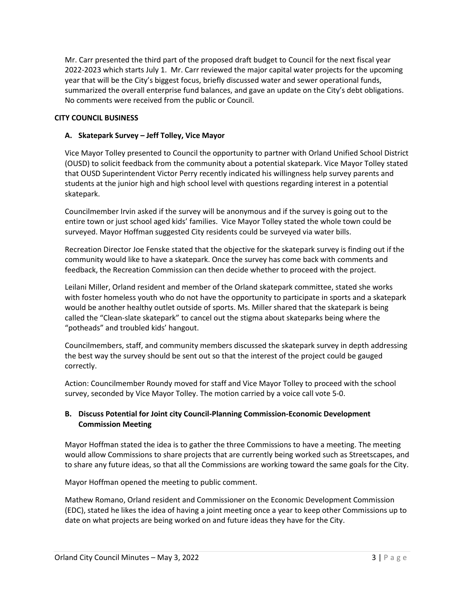Mr. Carr presented the third part of the proposed draft budget to Council for the next fiscal year 2022-2023 which starts July 1. Mr. Carr reviewed the major capital water projects for the upcoming year that will be the City's biggest focus, briefly discussed water and sewer operational funds, summarized the overall enterprise fund balances, and gave an update on the City's debt obligations. No comments were received from the public or Council.

# **CITY COUNCIL BUSINESS**

## **A. Skatepark Survey – Jeff Tolley, Vice Mayor**

Vice Mayor Tolley presented to Council the opportunity to partner with Orland Unified School District (OUSD) to solicit feedback from the community about a potential skatepark. Vice Mayor Tolley stated that OUSD Superintendent Victor Perry recently indicated his willingness help survey parents and students at the junior high and high school level with questions regarding interest in a potential skatepark.

Councilmember Irvin asked if the survey will be anonymous and if the survey is going out to the entire town or just school aged kids' families. Vice Mayor Tolley stated the whole town could be surveyed. Mayor Hoffman suggested City residents could be surveyed via water bills.

Recreation Director Joe Fenske stated that the objective for the skatepark survey is finding out if the community would like to have a skatepark. Once the survey has come back with comments and feedback, the Recreation Commission can then decide whether to proceed with the project.

Leilani Miller, Orland resident and member of the Orland skatepark committee, stated she works with foster homeless youth who do not have the opportunity to participate in sports and a skatepark would be another healthy outlet outside of sports. Ms. Miller shared that the skatepark is being called the "Clean-slate skatepark" to cancel out the stigma about skateparks being where the "potheads" and troubled kids' hangout.

Councilmembers, staff, and community members discussed the skatepark survey in depth addressing the best way the survey should be sent out so that the interest of the project could be gauged correctly.

Action: Councilmember Roundy moved for staff and Vice Mayor Tolley to proceed with the school survey, seconded by Vice Mayor Tolley. The motion carried by a voice call vote 5-0.

# **B. Discuss Potential for Joint city Council-Planning Commission-Economic Development Commission Meeting**

Mayor Hoffman stated the idea is to gather the three Commissions to have a meeting. The meeting would allow Commissions to share projects that are currently being worked such as Streetscapes, and to share any future ideas, so that all the Commissions are working toward the same goals for the City.

Mayor Hoffman opened the meeting to public comment.

Mathew Romano, Orland resident and Commissioner on the Economic Development Commission (EDC), stated he likes the idea of having a joint meeting once a year to keep other Commissions up to date on what projects are being worked on and future ideas they have for the City.